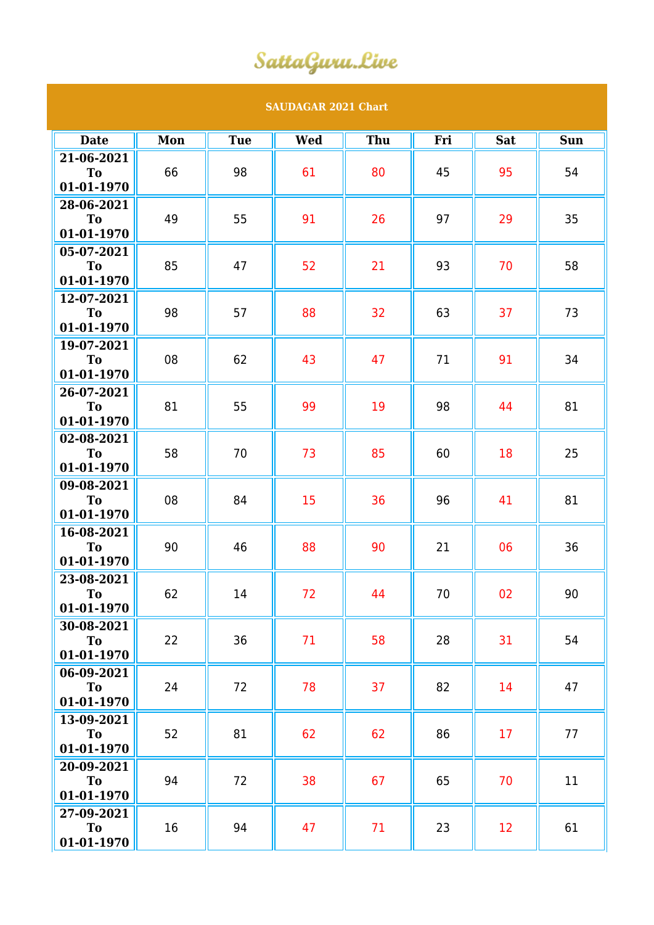## SattaGuru.Live

## **SAUDAGAR 2021 Chart**

| <b>Date</b>             | Mon | <b>Tue</b> | <b>Wed</b> | Thu | Fri | <b>Sat</b> | <b>Sun</b> |
|-------------------------|-----|------------|------------|-----|-----|------------|------------|
| 21-06-2021              |     |            |            |     |     |            |            |
| To                      | 66  | 98         | 61         | 80  | 45  | 95         | 54         |
| 01-01-1970              |     |            |            |     |     |            |            |
| 28-06-2021              |     |            |            |     |     |            |            |
| To<br>01-01-1970        | 49  | 55         | 91         | 26  | 97  | 29         | 35         |
|                         |     |            |            |     |     |            |            |
| 05-07-2021<br>To        | 85  | 47         | 52         | 21  | 93  | 70         | 58         |
| 01-01-1970              |     |            |            |     |     |            |            |
| 12-07-2021              |     |            |            |     |     |            |            |
| To                      | 98  | 57         | 88         | 32  | 63  | 37         | 73         |
| 01-01-1970              |     |            |            |     |     |            |            |
| 19-07-2021              |     |            |            |     |     |            |            |
| To                      | 08  | 62         | 43         | 47  | 71  | 91         | 34         |
| 01-01-1970              |     |            |            |     |     |            |            |
| 26-07-2021              |     |            |            |     |     |            |            |
| <b>To</b>               | 81  | 55         | 99         | 19  | 98  | 44         | 81         |
| 01-01-1970              |     |            |            |     |     |            |            |
| 02-08-2021              |     | 70         | 73         | 85  | 60  | 18         | 25         |
| To                      | 58  |            |            |     |     |            |            |
| 01-01-1970              |     |            |            |     |     |            |            |
| 09-08-2021<br><b>To</b> | 08  | 84         | 15         | 36  | 96  | 41         | 81         |
| 01-01-1970              |     |            |            |     |     |            |            |
| 16-08-2021              |     |            |            |     |     |            |            |
| T <sub>o</sub>          | 90  | 46         | 88         | 90  | 21  | 06         | 36         |
| 01-01-1970              |     |            |            |     |     |            |            |
| 23-08-2021              |     |            |            |     |     |            |            |
| <b>To</b>               | 62  | 14         | 72         | 44  | 70  | 02         | 90         |
| 01-01-1970              |     |            |            |     |     |            |            |
| 30-08-2021              |     |            |            |     |     |            |            |
| To                      | 22  | 36         | 71         | 58  | 28  | 31         | 54         |
| 01-01-1970              |     |            |            |     |     |            |            |
| 06-09-2021              |     |            |            |     |     |            |            |
| <b>To</b>               | 24  | 72         | 78         | 37  | 82  | 14         | 47         |
| 01-01-1970              |     |            |            |     |     |            |            |
| 13-09-2021              | 52  | 81         | 62         | 62  | 86  | 17         | 77         |
| To<br>01-01-1970        |     |            |            |     |     |            |            |
| 20-09-2021              |     |            |            |     |     |            |            |
| To                      | 94  | 72         | 38         | 67  | 65  | 70         | 11         |
| 01-01-1970              |     |            |            |     |     |            |            |
| 27-09-2021              |     |            |            |     |     |            |            |
| To                      | 16  | 94         | 47         | 71  | 23  | 12         | 61         |
| 01-01-1970              |     |            |            |     |     |            |            |